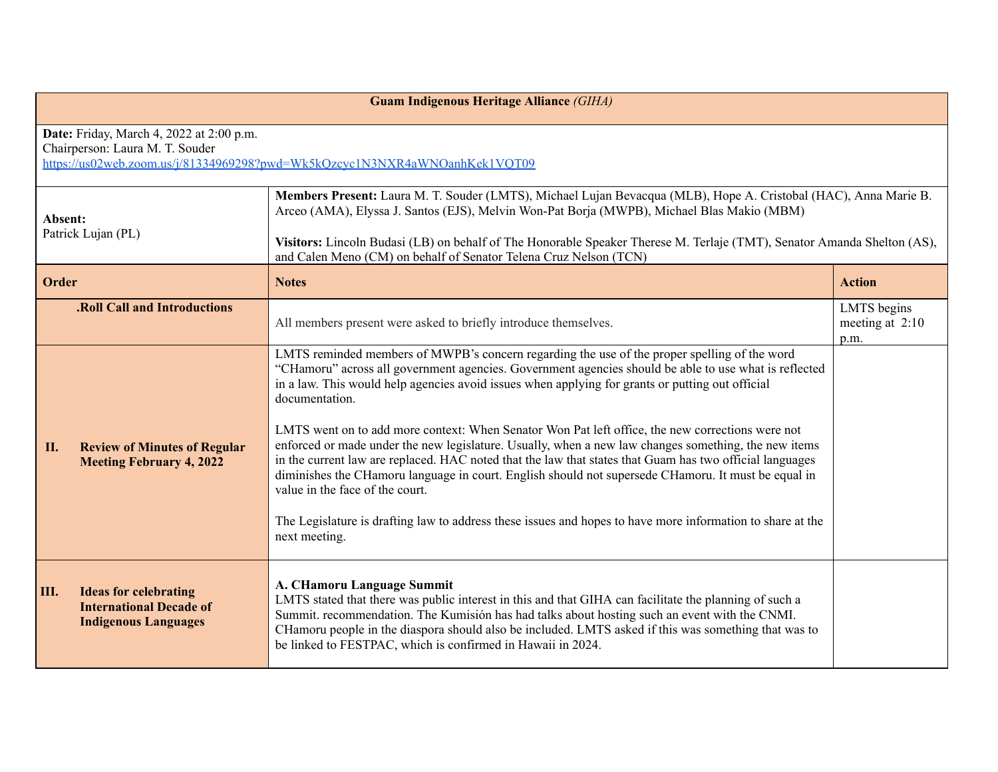| <b>Guam Indigenous Heritage Alliance (GIHA)</b>                                                                                                           |                                                                                                                                                                                                                                                                                                                                                                                                                                                                                                                                                                                                                                                                                                                                                                                                                                                                                                                              |                                          |  |  |
|-----------------------------------------------------------------------------------------------------------------------------------------------------------|------------------------------------------------------------------------------------------------------------------------------------------------------------------------------------------------------------------------------------------------------------------------------------------------------------------------------------------------------------------------------------------------------------------------------------------------------------------------------------------------------------------------------------------------------------------------------------------------------------------------------------------------------------------------------------------------------------------------------------------------------------------------------------------------------------------------------------------------------------------------------------------------------------------------------|------------------------------------------|--|--|
| Date: Friday, March 4, 2022 at 2:00 p.m.<br>Chairperson: Laura M. T. Souder<br>https://us02web.zoom.us/j/81334969298?pwd=Wk5kQzcyc1N3NXR4aWNOanhKek1VQT09 |                                                                                                                                                                                                                                                                                                                                                                                                                                                                                                                                                                                                                                                                                                                                                                                                                                                                                                                              |                                          |  |  |
| Absent:<br>Patrick Lujan (PL)                                                                                                                             | Members Present: Laura M. T. Souder (LMTS), Michael Lujan Bevacqua (MLB), Hope A. Cristobal (HAC), Anna Marie B.<br>Arceo (AMA), Elyssa J. Santos (EJS), Melvin Won-Pat Borja (MWPB), Michael Blas Makio (MBM)<br>Visitors: Lincoln Budasi (LB) on behalf of The Honorable Speaker Therese M. Terlaje (TMT), Senator Amanda Shelton (AS),<br>and Calen Meno (CM) on behalf of Senator Telena Cruz Nelson (TCN)                                                                                                                                                                                                                                                                                                                                                                                                                                                                                                               |                                          |  |  |
| <b>Order</b>                                                                                                                                              | <b>Notes</b>                                                                                                                                                                                                                                                                                                                                                                                                                                                                                                                                                                                                                                                                                                                                                                                                                                                                                                                 | <b>Action</b>                            |  |  |
| <b>.Roll Call and Introductions</b>                                                                                                                       | All members present were asked to briefly introduce themselves.                                                                                                                                                                                                                                                                                                                                                                                                                                                                                                                                                                                                                                                                                                                                                                                                                                                              | LMTS begins<br>meeting at $2:10$<br>p.m. |  |  |
| II.<br><b>Review of Minutes of Regular</b><br><b>Meeting February 4, 2022</b>                                                                             | LMTS reminded members of MWPB's concern regarding the use of the proper spelling of the word<br>"CHamoru" across all government agencies. Government agencies should be able to use what is reflected<br>in a law. This would help agencies avoid issues when applying for grants or putting out official<br>documentation.<br>LMTS went on to add more context: When Senator Won Pat left office, the new corrections were not<br>enforced or made under the new legislature. Usually, when a new law changes something, the new items<br>in the current law are replaced. HAC noted that the law that states that Guam has two official languages<br>diminishes the CHamoru language in court. English should not supersede CHamoru. It must be equal in<br>value in the face of the court.<br>The Legislature is drafting law to address these issues and hopes to have more information to share at the<br>next meeting. |                                          |  |  |
| III.<br><b>Ideas for celebrating</b><br><b>International Decade of</b><br><b>Indigenous Languages</b>                                                     | A. CHamoru Language Summit<br>LMTS stated that there was public interest in this and that GIHA can facilitate the planning of such a<br>Summit. recommendation. The Kumisión has had talks about hosting such an event with the CNMI.<br>CHamoru people in the diaspora should also be included. LMTS asked if this was something that was to<br>be linked to FESTPAC, which is confirmed in Hawaii in 2024.                                                                                                                                                                                                                                                                                                                                                                                                                                                                                                                 |                                          |  |  |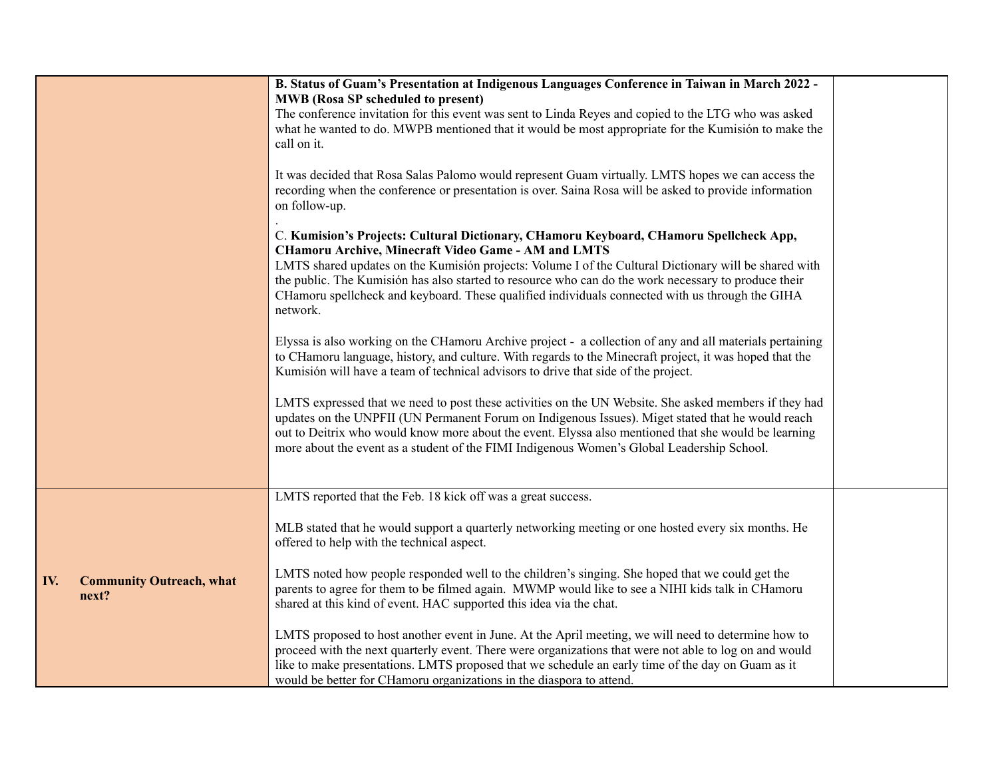|                                                 | B. Status of Guam's Presentation at Indigenous Languages Conference in Taiwan in March 2022 -<br><b>MWB</b> (Rosa SP scheduled to present)<br>The conference invitation for this event was sent to Linda Reyes and copied to the LTG who was asked<br>what he wanted to do. MWPB mentioned that it would be most appropriate for the Kumisión to make the<br>call on it.<br>It was decided that Rosa Salas Palomo would represent Guam virtually. LMTS hopes we can access the<br>recording when the conference or presentation is over. Saina Rosa will be asked to provide information<br>on follow-up.<br>C. Kumision's Projects: Cultural Dictionary, CHamoru Keyboard, CHamoru Spellcheck App,<br><b>CHamoru Archive, Minecraft Video Game - AM and LMTS</b><br>LMTS shared updates on the Kumisión projects: Volume I of the Cultural Dictionary will be shared with<br>the public. The Kumisión has also started to resource who can do the work necessary to produce their<br>CHamoru spellcheck and keyboard. These qualified individuals connected with us through the GIHA<br>network.<br>Elyssa is also working on the CHamoru Archive project - a collection of any and all materials pertaining<br>to CHamoru language, history, and culture. With regards to the Minecraft project, it was hoped that the<br>Kumisión will have a team of technical advisors to drive that side of the project.<br>LMTS expressed that we need to post these activities on the UN Website. She asked members if they had<br>updates on the UNPFII (UN Permanent Forum on Indigenous Issues). Miget stated that he would reach<br>out to Deitrix who would know more about the event. Elyssa also mentioned that she would be learning<br>more about the event as a student of the FIMI Indigenous Women's Global Leadership School. |  |
|-------------------------------------------------|------------------------------------------------------------------------------------------------------------------------------------------------------------------------------------------------------------------------------------------------------------------------------------------------------------------------------------------------------------------------------------------------------------------------------------------------------------------------------------------------------------------------------------------------------------------------------------------------------------------------------------------------------------------------------------------------------------------------------------------------------------------------------------------------------------------------------------------------------------------------------------------------------------------------------------------------------------------------------------------------------------------------------------------------------------------------------------------------------------------------------------------------------------------------------------------------------------------------------------------------------------------------------------------------------------------------------------------------------------------------------------------------------------------------------------------------------------------------------------------------------------------------------------------------------------------------------------------------------------------------------------------------------------------------------------------------------------------------------------------------------------------------------------------------------------------------------------|--|
| IV.<br><b>Community Outreach, what</b><br>next? | LMTS reported that the Feb. 18 kick off was a great success.<br>MLB stated that he would support a quarterly networking meeting or one hosted every six months. He<br>offered to help with the technical aspect.<br>LMTS noted how people responded well to the children's singing. She hoped that we could get the<br>parents to agree for them to be filmed again. MWMP would like to see a NIHI kids talk in CHamoru<br>shared at this kind of event. HAC supported this idea via the chat.<br>LMTS proposed to host another event in June. At the April meeting, we will need to determine how to<br>proceed with the next quarterly event. There were organizations that were not able to log on and would<br>like to make presentations. LMTS proposed that we schedule an early time of the day on Guam as it<br>would be better for CHamoru organizations in the diaspora to attend.                                                                                                                                                                                                                                                                                                                                                                                                                                                                                                                                                                                                                                                                                                                                                                                                                                                                                                                                       |  |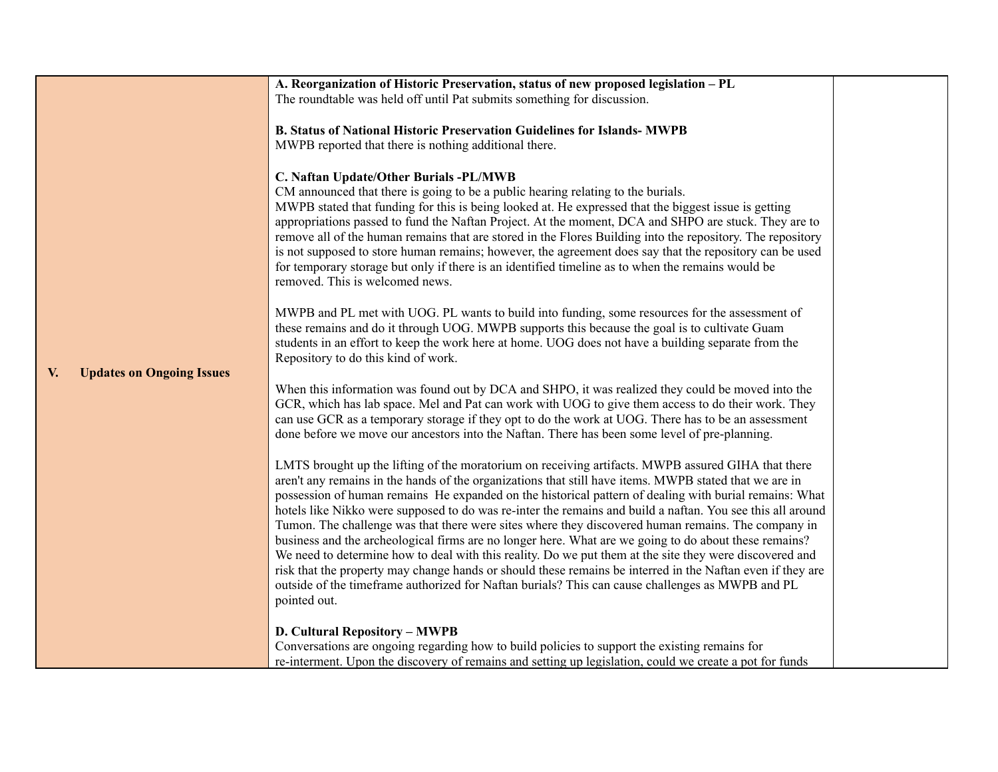|                                        | A. Reorganization of Historic Preservation, status of new proposed legislation - PL                                                                                                                                  |  |
|----------------------------------------|----------------------------------------------------------------------------------------------------------------------------------------------------------------------------------------------------------------------|--|
|                                        | The roundtable was held off until Pat submits something for discussion.                                                                                                                                              |  |
|                                        |                                                                                                                                                                                                                      |  |
|                                        | <b>B. Status of National Historic Preservation Guidelines for Islands- MWPB</b>                                                                                                                                      |  |
|                                        | MWPB reported that there is nothing additional there.                                                                                                                                                                |  |
|                                        |                                                                                                                                                                                                                      |  |
|                                        | C. Naftan Update/Other Burials -PL/MWB                                                                                                                                                                               |  |
|                                        | CM announced that there is going to be a public hearing relating to the burials.                                                                                                                                     |  |
|                                        | MWPB stated that funding for this is being looked at. He expressed that the biggest issue is getting                                                                                                                 |  |
|                                        | appropriations passed to fund the Naftan Project. At the moment, DCA and SHPO are stuck. They are to                                                                                                                 |  |
|                                        | remove all of the human remains that are stored in the Flores Building into the repository. The repository                                                                                                           |  |
|                                        | is not supposed to store human remains; however, the agreement does say that the repository can be used                                                                                                              |  |
|                                        | for temporary storage but only if there is an identified timeline as to when the remains would be                                                                                                                    |  |
|                                        | removed. This is welcomed news.                                                                                                                                                                                      |  |
|                                        |                                                                                                                                                                                                                      |  |
|                                        | MWPB and PL met with UOG. PL wants to build into funding, some resources for the assessment of                                                                                                                       |  |
|                                        | these remains and do it through UOG. MWPB supports this because the goal is to cultivate Guam                                                                                                                        |  |
|                                        | students in an effort to keep the work here at home. UOG does not have a building separate from the                                                                                                                  |  |
|                                        | Repository to do this kind of work.                                                                                                                                                                                  |  |
| <b>Updates on Ongoing Issues</b><br>V. | When this information was found out by DCA and SHPO, it was realized they could be moved into the                                                                                                                    |  |
|                                        | GCR, which has lab space. Mel and Pat can work with UOG to give them access to do their work. They                                                                                                                   |  |
|                                        | can use GCR as a temporary storage if they opt to do the work at UOG. There has to be an assessment                                                                                                                  |  |
|                                        | done before we move our ancestors into the Naftan. There has been some level of pre-planning.                                                                                                                        |  |
|                                        |                                                                                                                                                                                                                      |  |
|                                        | LMTS brought up the lifting of the moratorium on receiving artifacts. MWPB assured GIHA that there                                                                                                                   |  |
|                                        | aren't any remains in the hands of the organizations that still have items. MWPB stated that we are in                                                                                                               |  |
|                                        | possession of human remains He expanded on the historical pattern of dealing with burial remains: What<br>hotels like Nikko were supposed to do was re-inter the remains and build a naftan. You see this all around |  |
|                                        | Tumon. The challenge was that there were sites where they discovered human remains. The company in                                                                                                                   |  |
|                                        | business and the archeological firms are no longer here. What are we going to do about these remains?                                                                                                                |  |
|                                        | We need to determine how to deal with this reality. Do we put them at the site they were discovered and                                                                                                              |  |
|                                        | risk that the property may change hands or should these remains be interred in the Naftan even if they are                                                                                                           |  |
|                                        | outside of the timeframe authorized for Naftan burials? This can cause challenges as MWPB and PL                                                                                                                     |  |
|                                        | pointed out.                                                                                                                                                                                                         |  |
|                                        |                                                                                                                                                                                                                      |  |
|                                        | <b>D. Cultural Repository - MWPB</b>                                                                                                                                                                                 |  |
|                                        | Conversations are ongoing regarding how to build policies to support the existing remains for                                                                                                                        |  |
|                                        | re-interment. Upon the discovery of remains and setting up legislation, could we create a pot for funds                                                                                                              |  |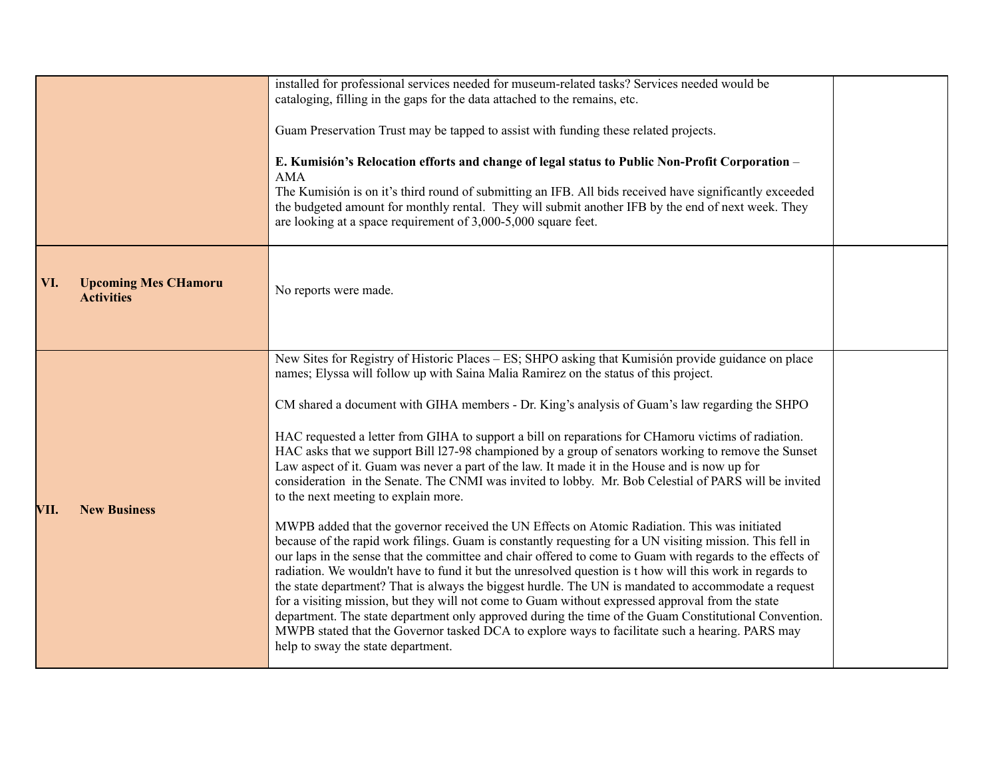|                                                         | installed for professional services needed for museum-related tasks? Services needed would be<br>cataloging, filling in the gaps for the data attached to the remains, etc.<br>Guam Preservation Trust may be tapped to assist with funding these related projects.<br>E. Kumisión's Relocation efforts and change of legal status to Public Non-Profit Corporation -<br><b>AMA</b><br>The Kumisión is on it's third round of submitting an IFB. All bids received have significantly exceeded<br>the budgeted amount for monthly rental. They will submit another IFB by the end of next week. They                                                                                                                                                                                                                                                                                                                                                                                                                                                                                                                                                                                                                                                                                                                                                                                                                                                                                                                                                                                                                                                            |  |
|---------------------------------------------------------|-----------------------------------------------------------------------------------------------------------------------------------------------------------------------------------------------------------------------------------------------------------------------------------------------------------------------------------------------------------------------------------------------------------------------------------------------------------------------------------------------------------------------------------------------------------------------------------------------------------------------------------------------------------------------------------------------------------------------------------------------------------------------------------------------------------------------------------------------------------------------------------------------------------------------------------------------------------------------------------------------------------------------------------------------------------------------------------------------------------------------------------------------------------------------------------------------------------------------------------------------------------------------------------------------------------------------------------------------------------------------------------------------------------------------------------------------------------------------------------------------------------------------------------------------------------------------------------------------------------------------------------------------------------------|--|
| <b>Upcoming Mes CHamoru</b><br>VI.<br><b>Activities</b> | are looking at a space requirement of 3,000-5,000 square feet.<br>No reports were made.                                                                                                                                                                                                                                                                                                                                                                                                                                                                                                                                                                                                                                                                                                                                                                                                                                                                                                                                                                                                                                                                                                                                                                                                                                                                                                                                                                                                                                                                                                                                                                         |  |
| VII.<br><b>New Business</b>                             | New Sites for Registry of Historic Places – ES; SHPO asking that Kumisión provide guidance on place<br>names; Elyssa will follow up with Saina Malia Ramirez on the status of this project.<br>CM shared a document with GIHA members - Dr. King's analysis of Guam's law regarding the SHPO<br>HAC requested a letter from GIHA to support a bill on reparations for CHamoru victims of radiation.<br>HAC asks that we support Bill 127-98 championed by a group of senators working to remove the Sunset<br>Law aspect of it. Guam was never a part of the law. It made it in the House and is now up for<br>consideration in the Senate. The CNMI was invited to lobby. Mr. Bob Celestial of PARS will be invited<br>to the next meeting to explain more.<br>MWPB added that the governor received the UN Effects on Atomic Radiation. This was initiated<br>because of the rapid work filings. Guam is constantly requesting for a UN visiting mission. This fell in<br>our laps in the sense that the committee and chair offered to come to Guam with regards to the effects of<br>radiation. We wouldn't have to fund it but the unresolved question is t how will this work in regards to<br>the state department? That is always the biggest hurdle. The UN is mandated to accommodate a request<br>for a visiting mission, but they will not come to Guam without expressed approval from the state<br>department. The state department only approved during the time of the Guam Constitutional Convention.<br>MWPB stated that the Governor tasked DCA to explore ways to facilitate such a hearing. PARS may<br>help to sway the state department. |  |